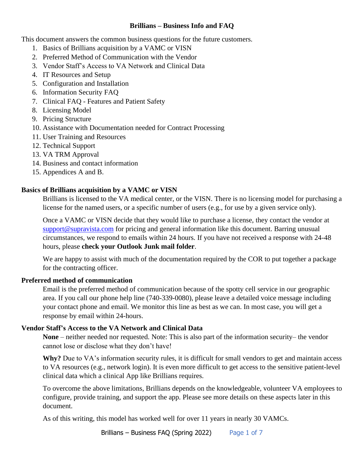# **Brillians – Business Info and FAQ**

This document answers the common business questions for the future customers.

- 1. Basics of Brillians acquisition by a VAMC or VISN
- 2. Preferred Method of Communication with the Vendor
- 3. Vendor Staff's Access to VA Network and Clinical Data
- 4. IT Resources and Setup
- 5. Configuration and Installation
- 6. Information Security FAQ
- 7. Clinical FAQ Features and Patient Safety
- 8. Licensing Model
- 9. Pricing Structure
- 10. Assistance with Documentation needed for Contract Processing
- 11. User Training and Resources
- 12. Technical Support
- 13. VA TRM Approval
- 14. Business and contact information
- 15. Appendices A and B.

# **Basics of Brillians acquisition by a VAMC or VISN**

Brillians is licensed to the VA medical center, or the VISN. There is no licensing model for purchasing a license for the named users, or a specific number of users (e.g., for use by a given service only).

Once a VAMC or VISN decide that they would like to purchase a license, they contact the vendor at [support@supravista.com](mailto:support@supravista.com) for pricing and general information like this document. Barring unusual circumstances, we respond to emails within 24 hours. If you have not received a response with 24-48 hours, please **check your Outlook Junk mail folder**.

We are happy to assist with much of the documentation required by the COR to put together a package for the contracting officer.

# **Preferred method of communication**

Email is the preferred method of communication because of the spotty cell service in our geographic area. If you call our phone help line (740-339-0080), please leave a detailed voice message including your contact phone and email. We monitor this line as best as we can. In most case, you will get a response by email within 24-hours.

# **Vendor Staff's Access to the VA Network and Clinical Data**

**None** – neither needed nor requested. Note: This is also part of the information security– the vendor cannot lose or disclose what they don't have!

**Why?** Due to VA's information security rules, it is difficult for small vendors to get and maintain access to VA resources (e.g., network login). It is even more difficult to get access to the sensitive patient-level clinical data which a clinical App like Brillians requires.

To overcome the above limitations, Brillians depends on the knowledgeable, volunteer VA employees to configure, provide training, and support the app. Please see more details on these aspects later in this document.

As of this writing, this model has worked well for over 11 years in nearly 30 VAMCs.

Brillians – Business FAQ (Spring 2022) Page 1 of 7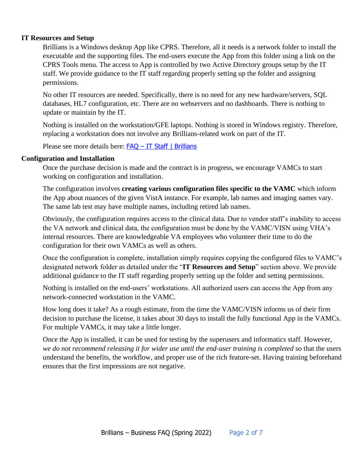## **IT Resources and Setup**

Brillians is a Windows desktop App like CPRS. Therefore, all it needs is a network folder to install the executable and the supporting files. The end-users execute the App from this folder using a link on the CPRS Tools menu. The access to App is controlled by two Active Directory groups setup by the IT staff. We provide guidance to the IT staff regarding properly setting up the folder and assigning permissions.

No other IT resources are needed. Specifically, there is no need for any new hardware/servers, SQL databases, HL7 configuration, etc. There are no webservers and no dashboards. There is nothing to update or maintain by the IT.

Nothing is installed on the workstation/GFE laptops. Nothing is stored in Windows registry. Therefore, replacing a workstation does not involve any Brillians-related work on part of the IT.

Please see more details here: FAQ – [IT Staff | Brillians](https://www.brillians.com/faq-it-staff/)

### **Configuration and Installation**

Once the purchase decision is made and the contract is in progress, we encourage VAMCs to start working on configuration and installation.

The configuration involves **creating various configuration files specific to the VAMC** which inform the App about nuances of the given VistA instance. For example, lab names and imaging names vary. The same lab test may have multiple names, including retired lab names.

Obviously, the configuration requires access to the clinical data. Due to vendor staff's inability to access the VA network and clinical data, the configuration must be done by the VAMC/VISN using VHA's internal resources. There are knowledgeable VA employees who volunteer their time to do the configuration for their own VAMCs as well as others.

Once the configuration is complete, installation simply requires copying the configured files to VAMC's designated network folder as detailed under the "**IT Resources and Setup**" section above. We provide additional guidance to the IT staff regarding properly setting up the folder and setting permissions.

Nothing is installed on the end-users' workstations. All authorized users can access the App from any network-connected workstation in the VAMC.

How long does it take? As a rough estimate, from the time the VAMC/VISN informs us of their firm decision to purchase the license, it takes about 30 days to install the fully functional App in the VAMCs. For multiple VAMCs, it may take a little longer.

Once the App is installed, it can be used for testing by the superusers and informatics staff. However, *we do not recommend releasing it for wider use until the end-user training is completed* so that the users understand the benefits, the workflow, and proper use of the rich feature-set. Having training beforehand ensures that the first impressions are not negative.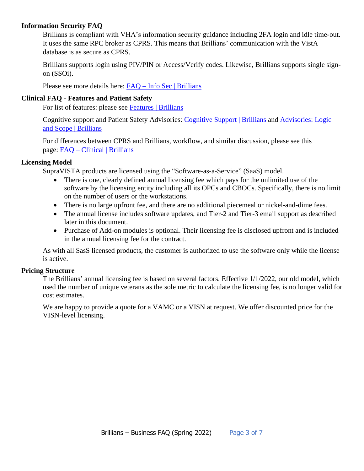# **Information Security FAQ**

Brillians is compliant with VHA's information security guidance including 2FA login and idle time-out. It uses the same RPC broker as CPRS. This means that Brillians' communication with the VistA database is as secure as CPRS.

Brillians supports login using PIV/PIN or Access/Verify codes. Likewise, Brillians supports single signon (SSOi).

Please see more details here: FAQ – [Info Sec | Brillians](https://www.brillians.com/faq-info-sec/)

### **Clinical FAQ - Features and Patient Safety**

For list of features: please see [Features | Brillians](https://www.brillians.com/features/)

Cognitive support and Patient Safety Advisories: [Cognitive Support | Brillians](https://www.brillians.com/cognitive-support/) and [Advisories: Logic](https://www.brillians.com/advisories-logic-and-scope/)  [and Scope | Brillians](https://www.brillians.com/advisories-logic-and-scope/)

For differences between CPRS and Brillians, workflow, and similar discussion, please see this page: FAQ – [Clinical | Brillians](https://www.brillians.com/faq-clinical/)

## **Licensing Model**

SupraVISTA products are licensed using the "Software-as-a-Service" (SaaS) model.

- There is one, clearly defined annual licensing fee which pays for the unlimited use of the software by the licensing entity including all its OPCs and CBOCs. Specifically, there is no limit on the number of users or the workstations.
- There is no large upfront fee, and there are no additional piecemeal or nickel-and-dime fees.
- The annual license includes software updates, and Tier-2 and Tier-3 email support as described later in this document.
- Purchase of Add-on modules is optional. Their licensing fee is disclosed upfront and is included in the annual licensing fee for the contract.

As with all SasS licensed products, the customer is authorized to use the software only while the license is active.

### **Pricing Structure**

The Brillians' annual licensing fee is based on several factors. Effective 1/1/2022, our old model, which used the number of unique veterans as the sole metric to calculate the licensing fee, is no longer valid for cost estimates.

We are happy to provide a quote for a VAMC or a VISN at request. We offer discounted price for the VISN-level licensing.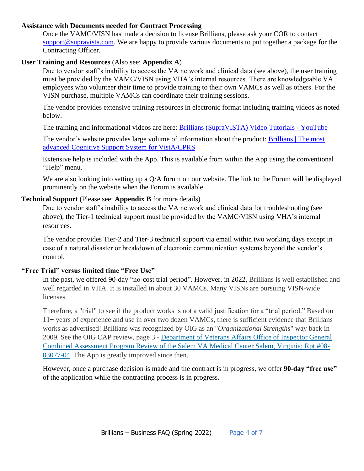### **Assistance with Documents needed for Contract Processing**

Once the VAMC/VISN has made a decision to license Brillians, please ask your COR to contact [support@supravista.com.](mailto:support@supravista.com) We are happy to provide various documents to put together a package for the Contracting Officer.

# **User Training and Resources** (Also see: **Appendix A**)

Due to vendor staff's inability to access the VA network and clinical data (see above), the user training must be provided by the VAMC/VISN using VHA's internal resources. There are knowledgeable VA employees who volunteer their time to provide training to their own VAMCs as well as others. For the VISN purchase, multiple VAMCs can coordinate their training sessions.

The vendor provides extensive training resources in electronic format including training videos as noted below.

The training and informational videos are here: [Brillians \(SupraVISTA\) Video Tutorials -](https://www.youtube.com/playlist?list=PL7vvfldMLFFfkRxh6yz7KRgpKmyR7gKZH) YouTube

The vendor's website provides large volume of information about the product: [Brillians | The most](https://www.brillians.com/)  [advanced Cognitive Support System for VistA/CPRS](https://www.brillians.com/)

Extensive help is included with the App. This is available from within the App using the conventional "Help" menu.

We are also looking into setting up a Q/A forum on our website. The link to the Forum will be displayed prominently on the website when the Forum is available.

### **Technical Support** (Please see: **Appendix B** for more details)

Due to vendor staff's inability to access the VA network and clinical data for troubleshooting (see above), the Tier-1 technical support must be provided by the VAMC/VISN using VHA's internal resources.

The vendor provides Tier-2 and Tier-3 technical support via email within two working days except in case of a natural disaster or breakdown of electronic communication systems beyond the vendor's control.

## **"Free Trial" versus limited time "Free Use"**

In the past, we offered 90-day "no-cost trial period". However, in 2022, Brillians is well established and well regarded in VHA. It is installed in about 30 VAMCs. Many VISNs are pursuing VISN-wide licenses.

Therefore, a "trial" to see if the product works is not a valid justification for a "trial period." Based on 11+ years of experience and use in over two dozen VAMCs, there is sufficient evidence that Brillians works as advertised! Brillians was recognized by OIG as an "*Organizational Strengths*" way back in 2009*.* See the OIG CAP review, page 3 - [Department of Veterans Affairs Office of Inspector General](https://www.va.gov/oig/CAP/VAOIG-08-03077-04.pdf)  [Combined Assessment Program Review of the Salem VA Medical Center Salem, Virginia; Rpt #08-](https://www.va.gov/oig/CAP/VAOIG-08-03077-04.pdf) [03077-04.](https://www.va.gov/oig/CAP/VAOIG-08-03077-04.pdf) The App is greatly improved since then.

However, once a purchase decision is made and the contract is in progress, we offer **90-day "free use"** of the application while the contracting process is in progress.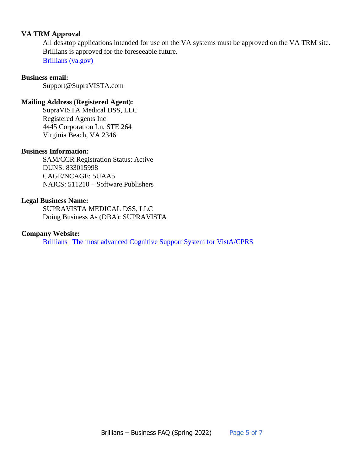# **VA TRM Approval**

All desktop applications intended for use on the VA systems must be approved on the VA TRM site. Brillians is approved for the foreseeable future. [Brillians \(va.gov\)](https://www.oit.va.gov/Services/TRM/ToolPage.aspx?tid=7557)

#### **Business email:**

Support@SupraVISTA.com

#### **Mailing Address (Registered Agent):**

SupraVISTA Medical DSS, LLC Registered Agents Inc 4445 Corporation Ln, STE 264 Virginia Beach, VA 2346

### **Business Information:**

SAM/CCR Registration Status: Active DUNS: 833015998 CAGE/NCAGE: 5UAA5 NAICS: 511210 – Software Publishers

### **Legal Business Name:**

SUPRAVISTA MEDICAL DSS, LLC Doing Business As (DBA): SUPRAVISTA

## **Company Website:**

[Brillians | The most advanced Cognitive Support System for VistA/CPRS](https://www.brillians.com/)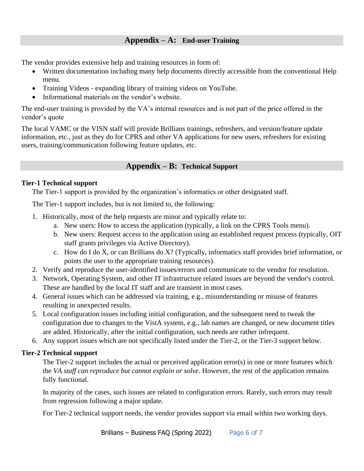# **Appendix – A: End-user Training**

The vendor provides extensive help and training resources in form of:

- Written documentation including many help documents directly accessible from the conventional Help menu.
- Training Videos expanding library of training videos on YouTube.
- Informational materials on the vendor's website.

The end-user training is provided by the VA's internal resources and is not part of the price offered in the vendor's quote

The local VAMC or the VISN staff will provide Brillians trainings, refreshers, and version/feature update information, etc., just as they do for CPRS and other VA applications for new users, refreshers for existing users, training/communication following feature updates, etc.

# **Appendix – B: Technical Support**

## **Tier-1 Technical support**

The Tier-1 support is provided by the organization's informatics or other designated staff.

The Tier-1 support includes, but is not limited to, the following:

- 1. Historically, most of the help requests are minor and typically relate to:
	- a. New users: How to access the application (typically, a link on the CPRS Tools menu).
	- b. New users: Request access to the application using an established request process (typically, OIT staff grants privileges via Active Directory).
	- c. How do I do X, or can Brillians do X? (Typically, informatics staff provides brief information, or points the user to the appropriate training resources).
- 2. Verify and reproduce the user-identified issues/errors and communicate to the vendor for resolution.
- 3. Network, Operating System, and other IT infrastructure related issues are beyond the vendor's control. These are handled by the local IT staff and are transient in most cases.
- 4. General issues which can be addressed via training, e.g., misunderstanding or misuse of features resulting in unexpected results.
- 5. Local configuration issues including initial configuration, and the subsequent need to tweak the configuration due to changes to the VistA system, e.g., lab names are changed, or new document titles are added. Historically, after the initial configuration, such needs are rather infrequent.
- 6. Any support issues which are not specifically listed under the Tier-2, or the Tier-3 support below.

# **Tier-2 Technical support**

The Tier-2 support includes the actual or perceived application error(s) in one or more features which the *VA staff can reproduce but cannot explain or solve*. However, the rest of the application remains fully functional.

In majority of the cases, such issues are related to configuration errors. Rarely, such errors may result from regression following a major update.

For Tier-2 technical support needs, the vendor provides support via email within two working days.